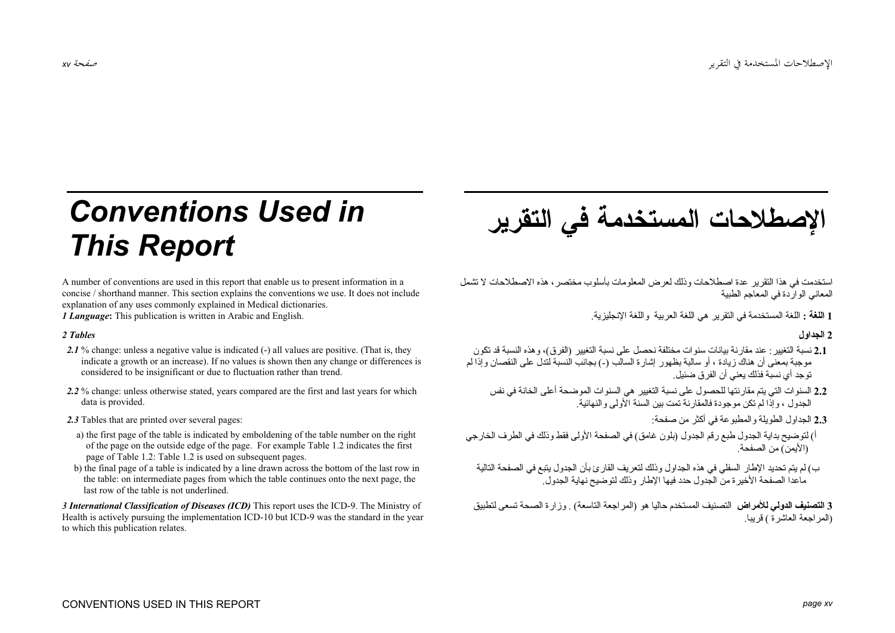# **Conventions Used in This Report**

A number of conventions are used in this report that enable us to present information in a concise / shorthand manner. This section explains the conventions we use. It does not include explanation of any uses commonly explained in Medical dictionaries.

*1 Language*: This publication is written in Arabic and English.

## 2 Tables

- 2.1% change: unless a negative value is indicated (-) all values are positive. (That is, they indicate a growth or an increase). If no values is shown then any change or differences is considered to be insignificant or due to fluctuation rather than trend.
- 2.2 % change: unless otherwise stated, years compared are the first and last years for which data is provided.
- 2.3 Tables that are printed over several pages:
- a) the first page of the table is indicated by emboldening of the table number on the right of the page on the outside edge of the page. For example Table 1.2 indicates the first page of Table 1.2: Table 1.2 is used on subsequent pages.
- b) the final page of a table is indicated by a line drawn across the bottom of the last row in the table; on intermediate pages from which the table continues onto the next page, the last row of the table is not underlined.

3 International Classification of Diseases (ICD) This report uses the ICD-9. The Ministry of Health is actively pursuing the implementation ICD-10 but ICD-9 was the standard in the year to which this publication relates.



استخدمت في هذا التقرير عدة اصطلاحات وذلك لعرض المعلومات بأسلوب مختصر ، هذه الاصطلاحات لا تشمل المعاني الو ار دة في المعاجد الطنبة

1 اللغة : اللغة المستخدمة في النقرير هي اللغة العربية و اللغة الانجليزية.

2 الحداول

- 2.1 نسبة التغيير : عند مقار نة بيانات سنو ات مختلفة نحصل على نسبة التغيير (الفرق)، و هذه النسبة قد تكون مه حبة بمعنى أن هناك زيادة ، أو سالبة بظهور إشارة السالب (-) بجانب النسبة لندل على النقصان وإذا لم تو جد أي نسبّة فذلك يعنيّ أن الفر ق ضئيل.
	- 2.2 السنوات التي يتم مقار نتها للحصول على نسبة التغيير هي السنوات الموضحة أعلى الخانة في نفس<br>الجدول ، وإذا لم تكن موجودة فالمقارنة تمت بين السنة الأولى و النهائية.

2.3 الحداول الطويلة والمطبوعة في أكثر من صفحة:

- أ) لتوضيح بداية الجدول طبع رقم الجدول (بلون غامق) في الصفحة الأولى فقط وذلك في الطرف الخارجي (الأيمن) من الصفحة
	- ب) لم يتم تحديد الإطار السفلي في هذه الجداو ل و ذلك لتعر بف القار يً بأن الجدو ل يتبع في الصفحة التالية ماعدا الصفحة الأخير ة من الجدو ل حدد فيها الإطار و ذلك لتو ضيح نهاية الجدو ل ِ

3 ا**لتصنيف الدولي للأمراض** التصنيف المستخدم حاليا هو (المراجعة التاسعة) . وزارة الصحة تسعى لتطبيق (المر اجعة العاشرة ) قريبا.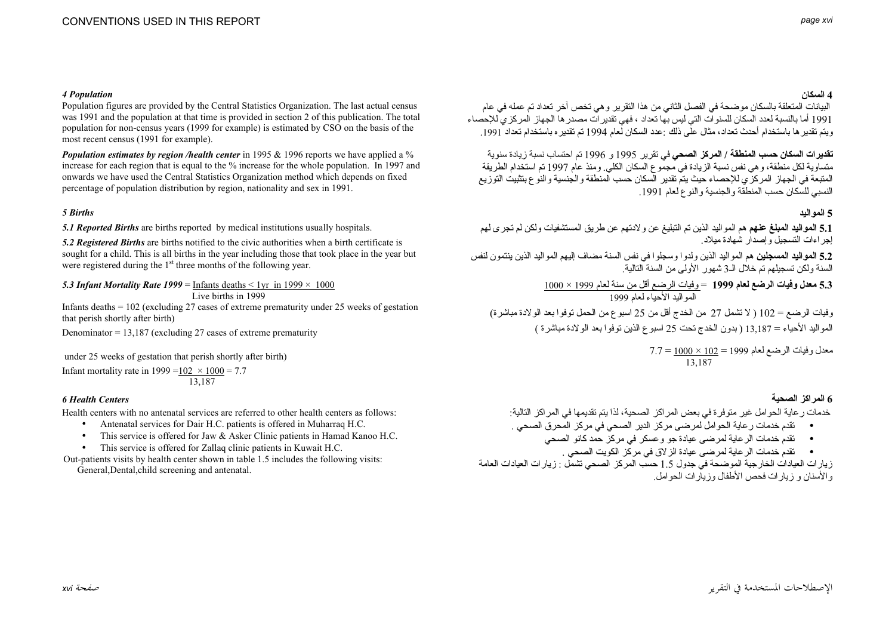## 4 Population

Population figures are provided by the Central Statistics Organization. The last actual census was 1991 and the population at that time is provided in section 2 of this publication. The total population for non-census years (1999 for example) is estimated by CSO on the basis of the most recent census (1991 for example).

**Population estimates by region /health center** in 1995 & 1996 reports we have applied a  $\%$ increase for each region that is equal to the % increase for the whole population. In 1997 and onwards we have used the Central Statistics Organization method which depends on fixed percentage of population distribution by region, nationality and sex in 1991.

## 5 Births

5.1 Reported Births are births reported by medical institutions usually hospitals.

5.2 Registered Births are births notified to the civic authorities when a birth certificate is sought for a child. This is all births in the year including those that took place in the year but were registered during the 1<sup>st</sup> three months of the following year.

5.3 Infant Mortality Rate 1999 = Infants deaths < 1yr in 1999  $\times$  1000 Live hirths in  $1999$ 

Infants deaths  $= 102$  (excluding 27 cases of extreme prematurity under 25 weeks of gestation that perish shortly after birth)

Denominator =  $13,187$  (excluding 27 cases of extreme prematurity

under 25 weeks of gestation that perish shortly after birth)

Infant mortality rate in 1999 =  $102 \times 1000 = 7.7$ 13.187

## **6 Health Centers**

Health centers with no antenatal services are referred to other health centers as follows:

- Antenatal services for Dair H.C. patients is offered in Muharrag H.C.  $\bullet$
- This service is offered for Jaw & Asker Clinic patients in Hamad Kanoo H.C.
- This service is offered for Zallaq clinic patients in Kuwait H.C.

Out-patients visits by health center shown in table 1.5 includes the following visits: General, Dental, child screening and antenatal.

# 4 السكان

البيانات المتعلقة بالسكان مو ضحة في الفصل الثاني من هذا النقر بر و هي تخص آخر تعداد تم عمله في عام .<br>1991 أما بالنسبة لعدد السكان للسنو ات التي ليس بها تعداد ، فهي تقدير ات مصدر ها الجهاز المر كز ي للإحصاء وبتم تقدير ها باستخدام أحدث تعداد، مثال علَّى ذلك :عدد السكان لَّعام 1994 تم تقدير ه باستخدام تعداد 1991.

**تقدير ات السكان حسب المنطقة / المركز الصحي في** تقر بر 1995 و 1996 تم احتساب نسبة ز بادة سنو بة متساوية لكل منطقة، و هي نفس نسبة الزيادة في مجموع السكان الكلي. ومنذ عام 1997 تم استخدام الطريقة المتبعة في الجهاز المركزَّ ي للإحصاء حيث يتمّ تقدير السكان حسب المنطقة و الجنسية و النوع بتثبيت التوزيع النسبي للسكان حسب المنطقة والحنسبة والنوع لعام 1991

# 5 المه الند

5.1 العواليد العبلغ عنهم هم المواليد الذين تم النبليغ عن ولادتهم عن طريق المستشفيات ولكن لم تجرى لهم إجر اءات التسجيل و إصدار شهادة مبلاد

5.2 المواليد المسجلين هم المواليد الذين ولدوا وسجلوا في نفس السنة مضاف اليهم المواليد الذين ينتمون لنفس السنة ولكن تسجيلهم تم خلال الـ3 شهو ر الأولى من السنة التالية .

5.3 معدل وفيات الرضع لعام 1999 = وفيات الرضع أقل من سنة لعام 1999 × 1000<br>المو البد الأحياء لعام 1999 وفيات الرضع = 102 ( لا تشمل 27 من الخدج أقل من 25 اسبو ع من الحمل توفو ا بعد الو لادة مباشر ة)

المواليد الأحياء = 13,187 ( بدون الخدج تحت 25 اسبوع الذين توفوا بعد الولادة مباشرة )

 $7.7 = \frac{1000 \times 102}{13.187} = 1999$  معدل وفيات الرضع لعام

# 6 المر اكز الصحبة

خدمات ر عاية الحو امل غير منو فر ة في بعض المر اكز الصحية، لذا يتم تقديمها في المر اكز التالية:

- تقدم خدمات رِ عاية الحو امل لمر ضي مركز الدير الصحي في مركز المحرق الصحي .
	- تقدم خدمات الرعاية لمرضى عيادة جو وعسكر في مركز حمد كانو الصحى
		- تقدم خدمات الر عاية لمرضى عيادة الز لاق في مركّز الكويت الصحى .

زيارات العيادات الخارجية الموضحة في جدول 1.5 حسَّب المركز الصحي تشمَّل : زيارات العيادات العامة و الأسنان و زيار ات فحص الأطفال وزيار ات الحو امل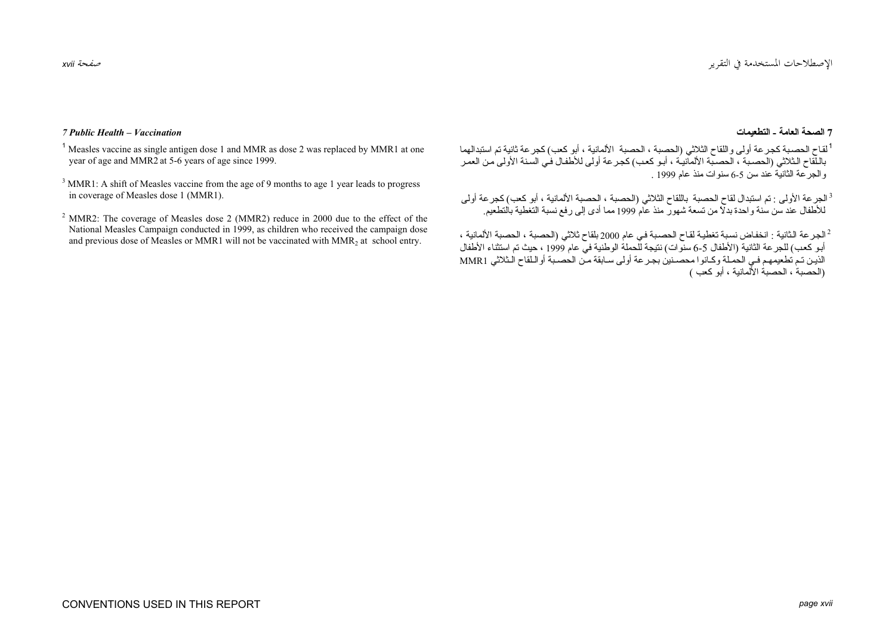#### صفحة xvii

# 7 الصحة العامة - التطعيمات

<sup>1</sup>لقاح الحصبة كجر عة أولى واللقاح الثلاثي (الحصبة ، الحصبة الألمانية ، أبو كعب) كجر عة ثانية تم استدالهما .<br>باللقاح الثلاثي (الحصبة ، الحصبة الألمانية ، أبو كعب) كجر عة أولى للأطفال في السنة الأولى من العمر و الجرحمة الثانية عند سن 5-6 سنو ات منذ عام 1999 .

<sup>3</sup>الجر عة الأولى : تم استبدال لقاح الحصبة باللقاح الثلاثي (الحصبة ، الحصبة الألمانية ، أبو كعب) كجر عة أولى للأطفال عند سن سنة واحدة بدلاً من تسعة شهور منذ عام 1999 مما أدى إلى رفع نسبة التغطية بالتطعيم.

الجرعة الثانية : انخفاض نسبة تغطية لقاح الحصبة في عام 2000 بلقاح ثلاثي (الحصبة ، الحصبة الألمانية ، ا $^2$ أبو كعب) للجر عة الثانية (الأطفال 5-6 سنوات) نتيجة للّحملة الوطنية في عام 1999 ، حيث تم استثناء الأطفال الذين تم تطعيمهم فـي الحملة وكـانوا محصـنين بجـرعة أولى سـابقة منّ الحصـبة أوالـلقاح الـثلاثي MMR1 (الحصية ، الحصية الألمانية ، أبو كعب )

# 7 Public Health – Vaccination

<sup>1</sup> Measles vaccine as single antigen dose 1 and MMR as dose 2 was replaced by MMR1 at one year of age and MMR2 at 5-6 years of age since 1999.

<sup>3</sup> MMR1: A shift of Measles vaccine from the age of 9 months to age 1 year leads to progress in coverage of Measles dose 1 (MMR1).

 $2$  MMR2: The coverage of Measles dose 2 (MMR2) reduce in 2000 due to the effect of the National Measles Campaign conducted in 1999, as children who received the campaign dose and previous dose of Measles or MMR1 will not be vaccinated with MMR<sub>2</sub> at school entry.